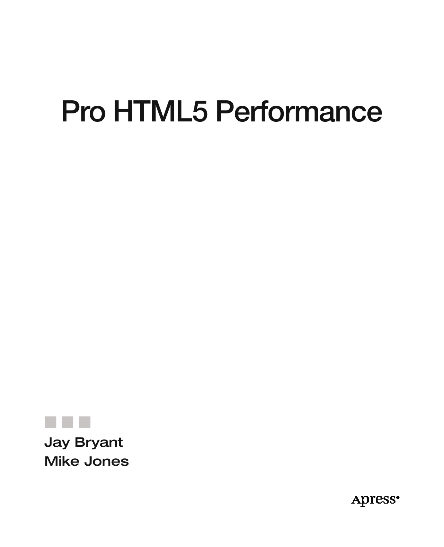# **Pro HTML5 Performance**



Mike Jones

**Apress**<sup>®</sup>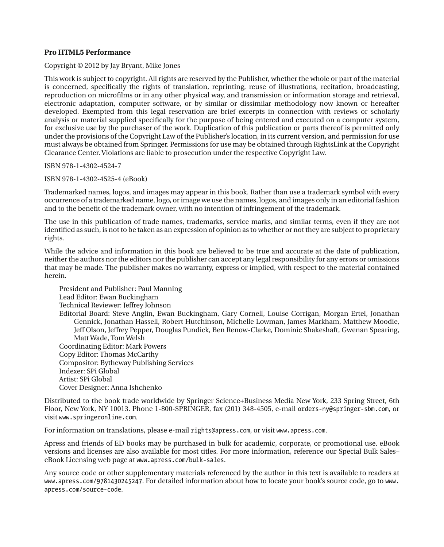#### **Pro HTML5 Performance**

Copyright © 2012 by Jay Bryant, Mike Jones

This work is subject to copyright. All rights are reserved by the Publisher, whether the whole or part of the material is concerned, specifically the rights of translation, reprinting, reuse of illustrations, recitation, broadcasting, reproduction on microfilms or in any other physical way, and transmission or information storage and retrieval, electronic adaptation, computer software, or by similar or dissimilar methodology now known or hereafter developed. Exempted from this legal reservation are brief excerpts in connection with reviews or scholarly analysis or material supplied specifically for the purpose of being entered and executed on a computer system, for exclusive use by the purchaser of the work. Duplication of this publication or parts thereof is permitted only under the provisions of the Copyright Law of the Publisher's location, in its current version, and permission for use must always be obtained from Springer. Permissions for use may be obtained through RightsLink at the Copyright Clearance Center. Violations are liable to prosecution under the respective Copyright Law.

ISBN 978-1-4302-4524-7

ISBN 978-1-4302-4525-4 (eBook)

Trademarked names, logos, and images may appear in this book. Rather than use a trademark symbol with every occurrence of a trademarked name, logo, or image we use the names, logos, and images only in an editorial fashion and to the benefit of the trademark owner, with no intention of infringement of the trademark.

The use in this publication of trade names, trademarks, service marks, and similar terms, even if they are not identified as such, is not to be taken as an expression of opinion as to whether or not they are subject to proprietary rights.

While the advice and information in this book are believed to be true and accurate at the date of publication, neither the authors nor the editors nor the publisher can accept any legal responsibility for any errors or omissions that may be made. The publisher makes no warranty, express or implied, with respect to the material contained herein.

President and Publisher: Paul Manning Lead Editor: Ewan Buckingham Technical Reviewer: Jeffrey Johnson Editorial Board: Steve Anglin, Ewan Buckingham, Gary Cornell, Louise Corrigan, Morgan Ertel, Jonathan Gennick, Jonathan Hassell, Robert Hutchinson, Michelle Lowman, James Markham, Matthew Moodie, Jeff Olson, Jeffrey Pepper, Douglas Pundick, Ben Renow-Clarke, Dominic Shakeshaft, Gwenan Spearing, Matt Wade, Tom Welsh Coordinating Editor: Mark Powers Copy Editor: Thomas McCarthy Compositor: Bytheway Publishing Services Indexer: SPi Global Artist: SPi Global Cover Designer: Anna Ishchenko

Distributed to the book trade worldwide by Springer Science+Business Media New York, 233 Spring Street, 6th Floor, New York, NY 10013. Phone 1-800-SPRINGER, fax (201) 348-4505, e-mail orders-ny@springer-sbm.com, or visit www.springeronline.com.

For information on translations, please e-mail rights@apress.com, or visit www.apress.com.

Apress and friends of ED books may be purchased in bulk for academic, corporate, or promotional use. eBook versions and licenses are also available for most titles. For more information, reference our Special Bulk Sales– eBook Licensing web page at www.apress.com/bulk-sales.

Any source code or other supplementary materials referenced by the author in this text is available to readers at www.apress.com/9781430245247. For detailed information about how to locate your book's source code, go to www. apress.com/source-code.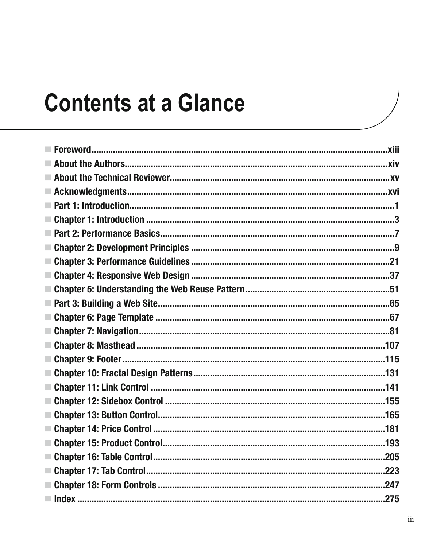# **Contents at a Glance**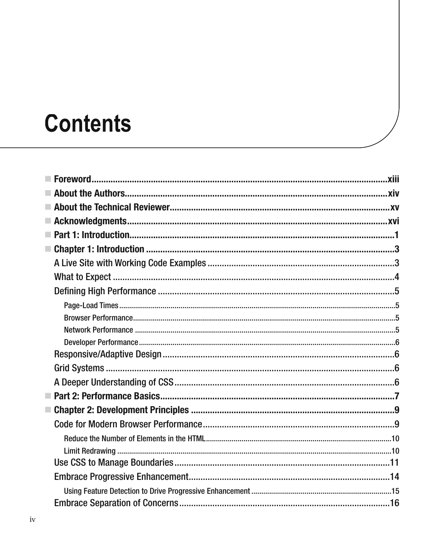# **Contents**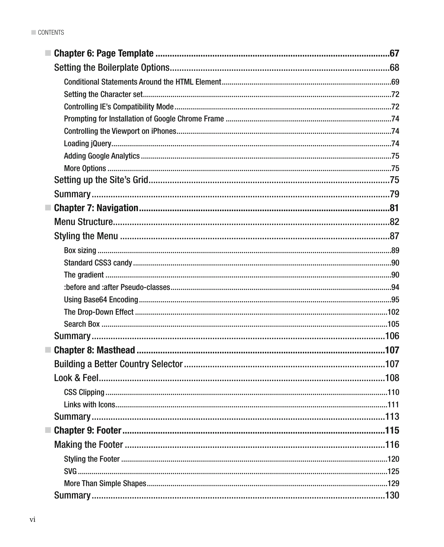| Summary. |  |
|----------|--|
|          |  |
|          |  |
|          |  |
|          |  |
|          |  |
|          |  |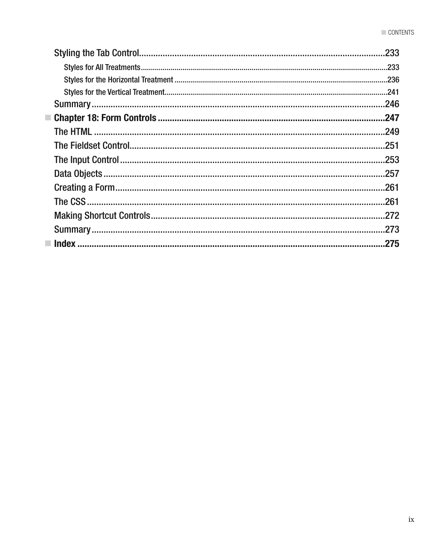| 233  |
|------|
|      |
|      |
| .241 |
| .246 |
| .247 |
| .249 |
| .251 |
| .253 |
| .257 |
|      |
| .261 |
|      |
|      |
|      |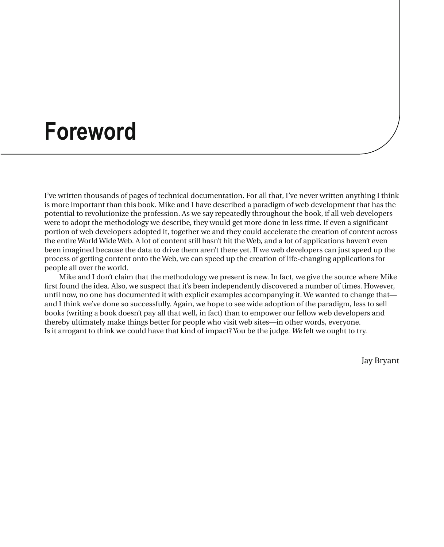### **Foreword**

I've written thousands of pages of technical documentation. For all that, I've never written anything I think is more important than this book. Mike and I have described a paradigm of web development that has the potential to revolutionize the profession. As we say repeatedly throughout the book, if all web developers were to adopt the methodology we describe, they would get more done in less time. If even a significant portion of web developers adopted it, together we and they could accelerate the creation of content across the entire World Wide Web. A lot of content still hasn't hit the Web, and a lot of applications haven't even been imagined because the data to drive them aren't there yet. If we web developers can just speed up the process of getting content onto the Web, we can speed up the creation of life-changing applications for people all over the world.

Mike and I don't claim that the methodology we present is new. In fact, we give the source where Mike first found the idea. Also, we suspect that it's been independently discovered a number of times. However, until now, no one has documented it with explicit examples accompanying it. We wanted to change that and I think we've done so successfully. Again, we hope to see wide adoption of the paradigm, less to sell books (writing a book doesn't pay all that well, in fact) than to empower our fellow web developers and thereby ultimately make things better for people who visit web sites—in other words, everyone. Is it arrogant to think we could have that kind of impact? You be the judge. *We* felt we ought to try.

Jay Bryant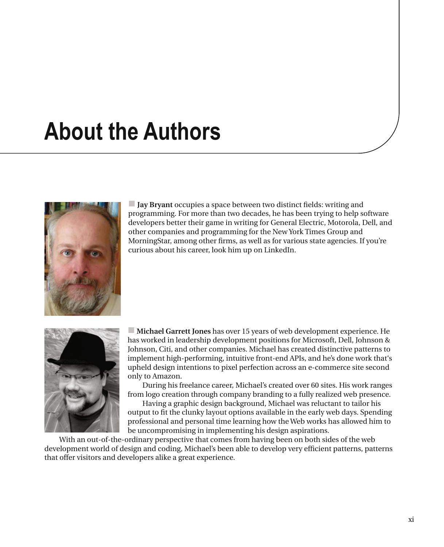# **About the Authors**



- **Jay Bryant** occupies a space between two distinct fields: writing and programming. For more than two decades, he has been trying to help software developers better their game in writing for General Electric, Motorola, Dell, and other companies and programming for the New York Times Group and MorningStar, among other firms, as well as for various state agencies. If you're curious about his career, look him up on LinkedIn.



- **Michael Garrett Jones** has over 15 years of web development experience. He has worked in leadership development positions for Microsoft, Dell, Johnson & Johnson, Citi, and other companies. Michael has created distinctive patterns to implement high-performing, intuitive front-end APIs, and he's done work that's upheld design intentions to pixel perfection across an e-commerce site second only to Amazon.

During his freelance career, Michael's created over 60 sites. His work ranges from logo creation through company branding to a fully realized web presence.

Having a graphic design background, Michael was reluctant to tailor his output to fit the clunky layout options available in the early web days. Spending professional and personal time learning how the Web works has allowed him to be uncompromising in implementing his design aspirations.

With an out-of-the-ordinary perspective that comes from having been on both sides of the web development world of design and coding, Michael's been able to develop very efficient patterns, patterns that offer visitors and developers alike a great experience.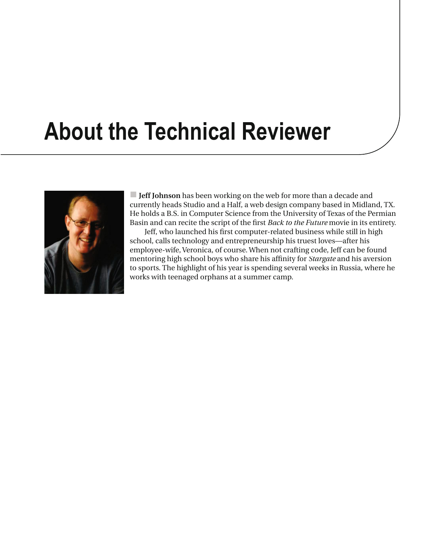# **About the Technical Reviewer**



- **Jeff Johnson** has been working on the web for more than a decade and currently heads Studio and a Half, a web design company based in Midland, TX. He holds a B.S. in Computer Science from the University of Texas of the Permian Basin and can recite the script of the first *Back to the Future* movie in its entirety.

Jeff, who launched his first computer-related business while still in high school, calls technology and entrepreneurship his truest loves—after his employee-wife, Veronica, of course. When not crafting code, Jeff can be found mentoring high school boys who share his affinity for *Stargate* and his aversion to sports. The highlight of his year is spending several weeks in Russia, where he works with teenaged orphans at a summer camp.